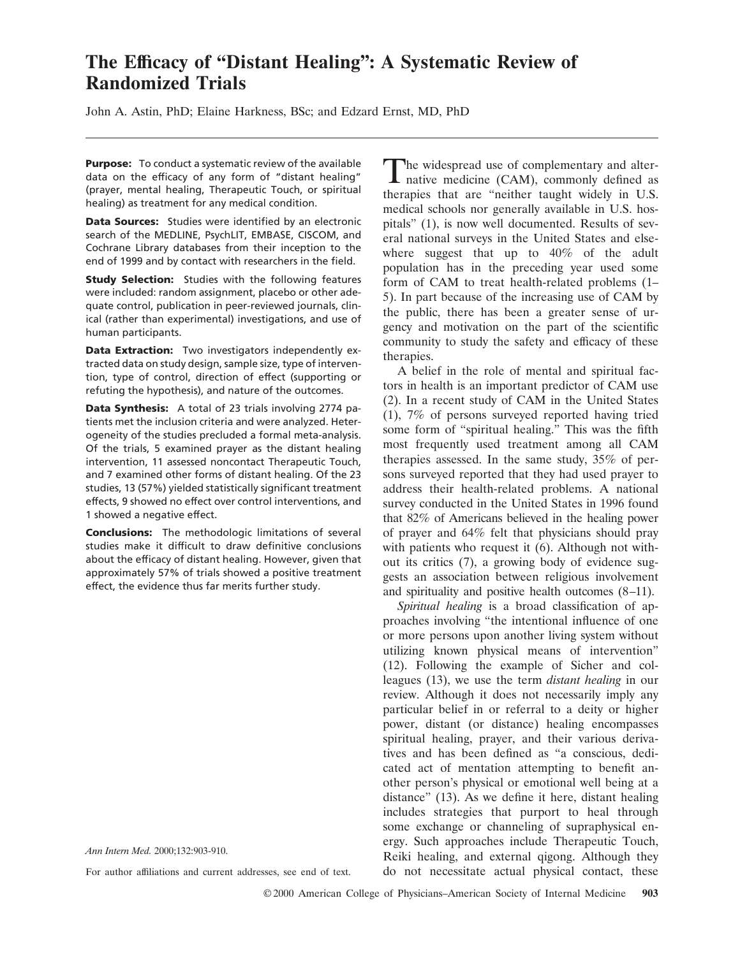# **The Efficacy of "Distant Healing": A Systematic Review of Randomized Trials**

John A. Astin, PhD; Elaine Harkness, BSc; and Edzard Ernst, MD, PhD

**Purpose:** To conduct a systematic review of the available data on the efficacy of any form of "distant healing" (prayer, mental healing, Therapeutic Touch, or spiritual healing) as treatment for any medical condition.

**Data Sources:** Studies were identified by an electronic search of the MEDLINE, PsychLIT, EMBASE, CISCOM, and Cochrane Library databases from their inception to the end of 1999 and by contact with researchers in the field.

**Study Selection:** Studies with the following features were included: random assignment, placebo or other adequate control, publication in peer-reviewed journals, clinical (rather than experimental) investigations, and use of human participants.

**Data Extraction:** Two investigators independently extracted data on study design, sample size, type of intervention, type of control, direction of effect (supporting or refuting the hypothesis), and nature of the outcomes.

**Data Synthesis:** A total of 23 trials involving 2774 patients met the inclusion criteria and were analyzed. Heterogeneity of the studies precluded a formal meta-analysis. Of the trials, 5 examined prayer as the distant healing intervention, 11 assessed noncontact Therapeutic Touch, and 7 examined other forms of distant healing. Of the 23 studies, 13 (57%) yielded statistically significant treatment effects, 9 showed no effect over control interventions, and 1 showed a negative effect.

**Conclusions:** The methodologic limitations of several studies make it difficult to draw definitive conclusions about the efficacy of distant healing. However, given that approximately 57% of trials showed a positive treatment effect, the evidence thus far merits further study.

*Ann Intern Med.* 2000;132:903-910.

For author affiliations and current addresses, see end of text.

The widespread use of complementary and alternative medicine (CAM), commonly defined as therapies that are "neither taught widely in U.S. medical schools nor generally available in U.S. hospitals" (1), is now well documented. Results of several national surveys in the United States and elsewhere suggest that up to 40% of the adult population has in the preceding year used some form of CAM to treat health-related problems (1– 5). In part because of the increasing use of CAM by the public, there has been a greater sense of urgency and motivation on the part of the scientific community to study the safety and efficacy of these therapies.

A belief in the role of mental and spiritual factors in health is an important predictor of CAM use (2). In a recent study of CAM in the United States (1), 7% of persons surveyed reported having tried some form of "spiritual healing." This was the fifth most frequently used treatment among all CAM therapies assessed. In the same study, 35% of persons surveyed reported that they had used prayer to address their health-related problems. A national survey conducted in the United States in 1996 found that 82% of Americans believed in the healing power of prayer and 64% felt that physicians should pray with patients who request it (6). Although not without its critics (7), a growing body of evidence suggests an association between religious involvement and spirituality and positive health outcomes (8–11).

*Spiritual healing* is a broad classification of approaches involving "the intentional influence of one or more persons upon another living system without utilizing known physical means of intervention" (12). Following the example of Sicher and colleagues (13), we use the term *distant healing* in our review. Although it does not necessarily imply any particular belief in or referral to a deity or higher power, distant (or distance) healing encompasses spiritual healing, prayer, and their various derivatives and has been defined as "a conscious, dedicated act of mentation attempting to benefit another person's physical or emotional well being at a distance" (13). As we define it here, distant healing includes strategies that purport to heal through some exchange or channeling of supraphysical energy. Such approaches include Therapeutic Touch, Reiki healing, and external qigong. Although they do not necessitate actual physical contact, these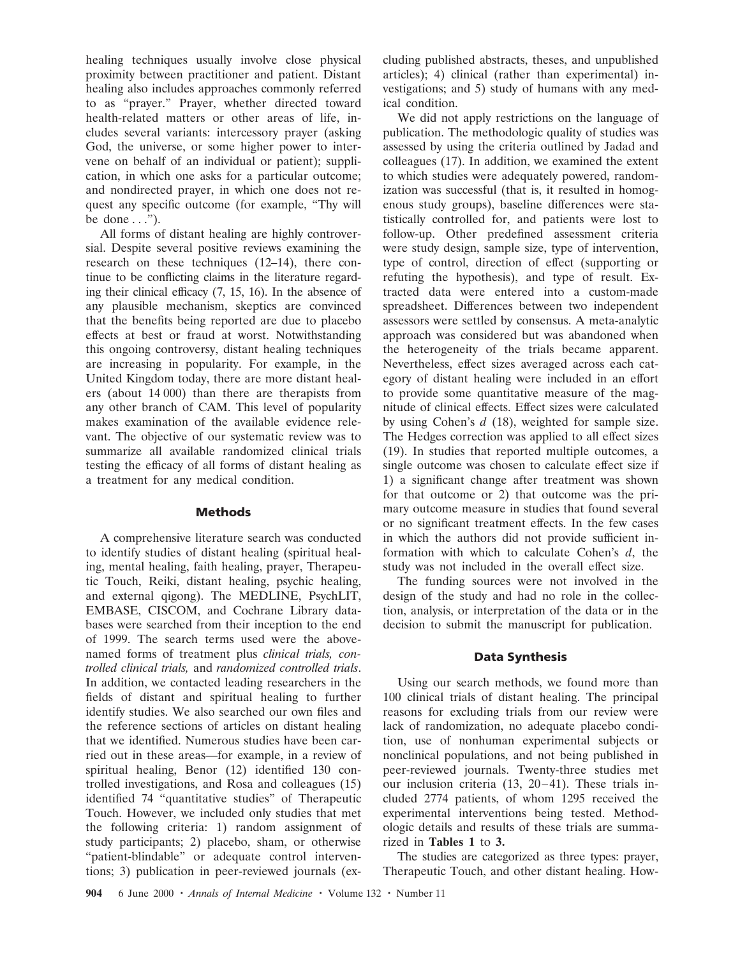healing techniques usually involve close physical proximity between practitioner and patient. Distant healing also includes approaches commonly referred to as "prayer." Prayer, whether directed toward health-related matters or other areas of life, includes several variants: intercessory prayer (asking God, the universe, or some higher power to intervene on behalf of an individual or patient); supplication, in which one asks for a particular outcome; and nondirected prayer, in which one does not request any specific outcome (for example, "Thy will be done  $\dots$ ").

All forms of distant healing are highly controversial. Despite several positive reviews examining the research on these techniques (12–14), there continue to be conflicting claims in the literature regarding their clinical efficacy (7, 15, 16). In the absence of any plausible mechanism, skeptics are convinced that the benefits being reported are due to placebo effects at best or fraud at worst. Notwithstanding this ongoing controversy, distant healing techniques are increasing in popularity. For example, in the United Kingdom today, there are more distant healers (about 14 000) than there are therapists from any other branch of CAM. This level of popularity makes examination of the available evidence relevant. The objective of our systematic review was to summarize all available randomized clinical trials testing the efficacy of all forms of distant healing as a treatment for any medical condition.

## **Methods**

A comprehensive literature search was conducted to identify studies of distant healing (spiritual healing, mental healing, faith healing, prayer, Therapeutic Touch, Reiki, distant healing, psychic healing, and external qigong). The MEDLINE, PsychLIT, EMBASE, CISCOM, and Cochrane Library databases were searched from their inception to the end of 1999. The search terms used were the abovenamed forms of treatment plus *clinical trials, controlled clinical trials,* and *randomized controlled trials*. In addition, we contacted leading researchers in the fields of distant and spiritual healing to further identify studies. We also searched our own files and the reference sections of articles on distant healing that we identified. Numerous studies have been carried out in these areas—for example, in a review of spiritual healing, Benor (12) identified 130 controlled investigations, and Rosa and colleagues (15) identified 74 "quantitative studies" of Therapeutic Touch. However, we included only studies that met the following criteria: 1) random assignment of study participants; 2) placebo, sham, or otherwise "patient-blindable" or adequate control interventions; 3) publication in peer-reviewed journals (excluding published abstracts, theses, and unpublished articles); 4) clinical (rather than experimental) investigations; and 5) study of humans with any medical condition.

We did not apply restrictions on the language of publication. The methodologic quality of studies was assessed by using the criteria outlined by Jadad and colleagues (17). In addition, we examined the extent to which studies were adequately powered, randomization was successful (that is, it resulted in homogenous study groups), baseline differences were statistically controlled for, and patients were lost to follow-up. Other predefined assessment criteria were study design, sample size, type of intervention, type of control, direction of effect (supporting or refuting the hypothesis), and type of result. Extracted data were entered into a custom-made spreadsheet. Differences between two independent assessors were settled by consensus. A meta-analytic approach was considered but was abandoned when the heterogeneity of the trials became apparent. Nevertheless, effect sizes averaged across each category of distant healing were included in an effort to provide some quantitative measure of the magnitude of clinical effects. Effect sizes were calculated by using Cohen's *d* (18), weighted for sample size. The Hedges correction was applied to all effect sizes (19). In studies that reported multiple outcomes, a single outcome was chosen to calculate effect size if 1) a significant change after treatment was shown for that outcome or 2) that outcome was the primary outcome measure in studies that found several or no significant treatment effects. In the few cases in which the authors did not provide sufficient information with which to calculate Cohen's *d*, the study was not included in the overall effect size.

The funding sources were not involved in the design of the study and had no role in the collection, analysis, or interpretation of the data or in the decision to submit the manuscript for publication.

# **Data Synthesis**

Using our search methods, we found more than 100 clinical trials of distant healing. The principal reasons for excluding trials from our review were lack of randomization, no adequate placebo condition, use of nonhuman experimental subjects or nonclinical populations, and not being published in peer-reviewed journals. Twenty-three studies met our inclusion criteria (13, 20–41). These trials included 2774 patients, of whom 1295 received the experimental interventions being tested. Methodologic details and results of these trials are summarized in **Tables 1** to **3.**

The studies are categorized as three types: prayer, Therapeutic Touch, and other distant healing. How-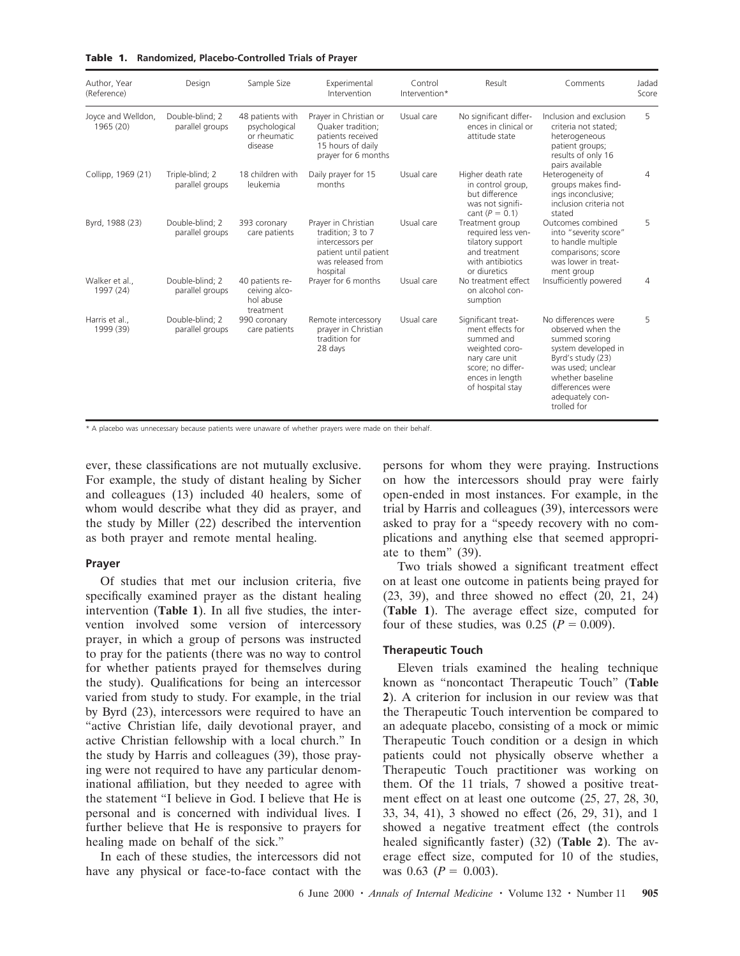|  |  | <b>Table 1.</b> Randomized, Placebo-Controlled Trials of Prayer |  |  |  |  |  |  |
|--|--|-----------------------------------------------------------------|--|--|--|--|--|--|
|--|--|-----------------------------------------------------------------|--|--|--|--|--|--|

| Author, Year<br>(Reference)     | Design                             | Sample Size                                                  | Experimental<br>Intervention                                                                                           | Control<br>Intervention* | Result                                                                                                                                               | Comments                                                                                                                                                                                              | Jadad<br>Score |
|---------------------------------|------------------------------------|--------------------------------------------------------------|------------------------------------------------------------------------------------------------------------------------|--------------------------|------------------------------------------------------------------------------------------------------------------------------------------------------|-------------------------------------------------------------------------------------------------------------------------------------------------------------------------------------------------------|----------------|
| Joyce and Welldon,<br>1965 (20) | Double-blind: 2<br>parallel groups | 48 patients with<br>psychological<br>or rheumatic<br>disease | Prayer in Christian or<br>Quaker tradition;<br>patients received<br>15 hours of daily<br>prayer for 6 months           | Usual care               | No significant differ-<br>ences in clinical or<br>attitude state                                                                                     | Inclusion and exclusion<br>criteria not stated:<br>heterogeneous<br>patient groups;<br>results of only 16<br>pairs available                                                                          | 5              |
| Collipp, 1969 (21)              | Triple-blind; 2<br>parallel groups | 18 children with<br>leukemia                                 | Daily prayer for 15<br>months                                                                                          | Usual care               | Higher death rate<br>in control group,<br>but difference<br>was not signifi-<br>cant $(P = 0.1)$                                                     | Heterogeneity of<br>groups makes find-<br>ings inconclusive;<br>inclusion criteria not<br>stated                                                                                                      | 4              |
| Byrd, 1988 (23)                 | Double-blind: 2<br>parallel groups | 393 coronary<br>care patients                                | Prayer in Christian<br>tradition; 3 to 7<br>intercessors per<br>patient until patient<br>was released from<br>hospital | Usual care               | Treatment group<br>required less ven-<br>tilatory support<br>and treatment<br>with antibiotics<br>or diuretics                                       | Outcomes combined<br>into "severity score"<br>to handle multiple<br>comparisons; score<br>was lower in treat-<br>ment group                                                                           | 5              |
| Walker et al.,<br>1997 (24)     | Double-blind; 2<br>parallel groups | 40 patients re-<br>ceiving alco-<br>hol abuse<br>treatment   | Prayer for 6 months                                                                                                    | Usual care               | No treatment effect<br>on alcohol con-<br>sumption                                                                                                   | Insufficiently powered                                                                                                                                                                                | 4              |
| Harris et al<br>1999 (39)       | Double-blind: 2<br>parallel groups | 990 coronary<br>care patients                                | Remote intercessory<br>prayer in Christian<br>tradition for<br>28 days                                                 | Usual care               | Significant treat-<br>ment effects for<br>summed and<br>weighted coro-<br>nary care unit<br>score; no differ-<br>ences in length<br>of hospital stay | No differences were<br>observed when the<br>summed scoring<br>system developed in<br>Byrd's study (23)<br>was used; unclear<br>whether baseline<br>differences were<br>adequately con-<br>trolled for | 5              |

\* A placebo was unnecessary because patients were unaware of whether prayers were made on their behalf.

ever, these classifications are not mutually exclusive. For example, the study of distant healing by Sicher and colleagues (13) included 40 healers, some of whom would describe what they did as prayer, and the study by Miller (22) described the intervention as both prayer and remote mental healing.

#### **Prayer**

Of studies that met our inclusion criteria, five specifically examined prayer as the distant healing intervention (**Table 1**). In all five studies, the intervention involved some version of intercessory prayer, in which a group of persons was instructed to pray for the patients (there was no way to control for whether patients prayed for themselves during the study). Qualifications for being an intercessor varied from study to study. For example, in the trial by Byrd (23), intercessors were required to have an "active Christian life, daily devotional prayer, and active Christian fellowship with a local church." In the study by Harris and colleagues (39), those praying were not required to have any particular denominational affiliation, but they needed to agree with the statement "I believe in God. I believe that He is personal and is concerned with individual lives. I further believe that He is responsive to prayers for healing made on behalf of the sick."

In each of these studies, the intercessors did not have any physical or face-to-face contact with the persons for whom they were praying. Instructions on how the intercessors should pray were fairly open-ended in most instances. For example, in the trial by Harris and colleagues (39), intercessors were asked to pray for a "speedy recovery with no complications and anything else that seemed appropriate to them" (39).

Two trials showed a significant treatment effect on at least one outcome in patients being prayed for (23, 39), and three showed no effect (20, 21, 24) (**Table 1**). The average effect size, computed for four of these studies, was 0.25 ( $P = 0.009$ ).

#### **Therapeutic Touch**

Eleven trials examined the healing technique known as "noncontact Therapeutic Touch" (**Table 2**). A criterion for inclusion in our review was that the Therapeutic Touch intervention be compared to an adequate placebo, consisting of a mock or mimic Therapeutic Touch condition or a design in which patients could not physically observe whether a Therapeutic Touch practitioner was working on them. Of the 11 trials, 7 showed a positive treatment effect on at least one outcome (25, 27, 28, 30, 33, 34, 41), 3 showed no effect (26, 29, 31), and 1 showed a negative treatment effect (the controls healed significantly faster) (32) (**Table 2**). The average effect size, computed for 10 of the studies, was 0.63  $(P = 0.003)$ .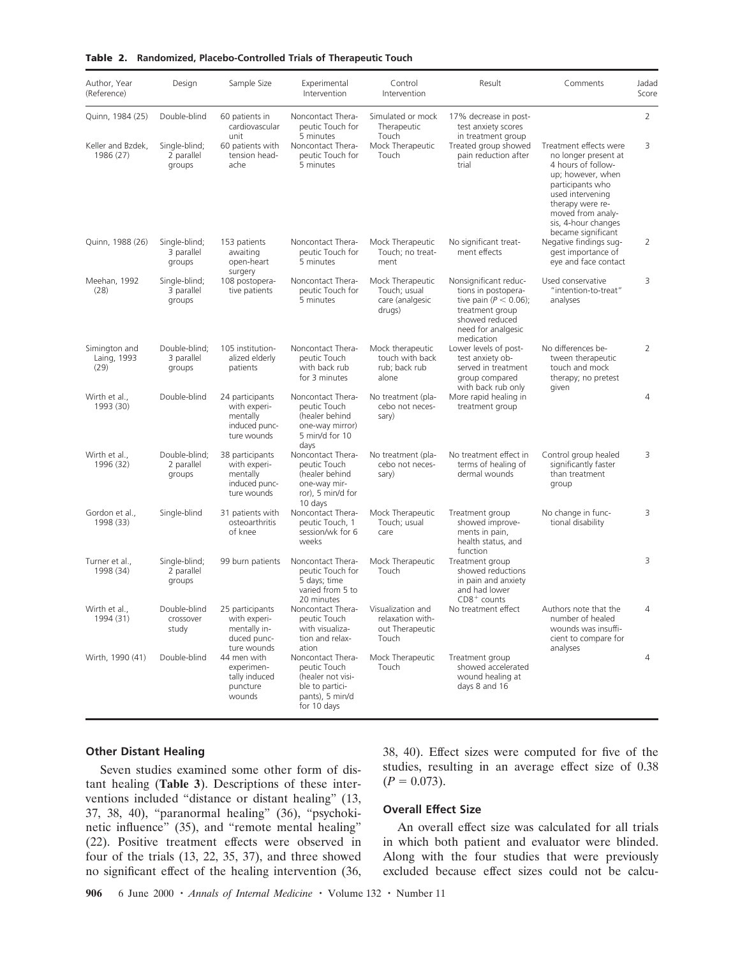| Author, Year<br>(Reference)          | Design                                | Sample Size                                                                   | Experimental<br>Intervention                                                                                | Control<br>Intervention                                           | Result                                                                                                                                             | Comments                                                                                                                                                                                                                | Jadad<br>Score |
|--------------------------------------|---------------------------------------|-------------------------------------------------------------------------------|-------------------------------------------------------------------------------------------------------------|-------------------------------------------------------------------|----------------------------------------------------------------------------------------------------------------------------------------------------|-------------------------------------------------------------------------------------------------------------------------------------------------------------------------------------------------------------------------|----------------|
| Quinn, 1984 (25)                     | Double-blind                          | 60 patients in<br>cardiovascular<br>unit                                      | Noncontact Thera-<br>peutic Touch for<br>5 minutes                                                          | Simulated or mock<br>Therapeutic<br>Touch                         | 17% decrease in post-<br>test anxiety scores<br>in treatment group                                                                                 |                                                                                                                                                                                                                         | $\overline{2}$ |
| Keller and Bzdek,<br>1986 (27)       | Single-blind;<br>2 parallel<br>groups | 60 patients with<br>tension head-<br>ache                                     | Noncontact Thera-<br>peutic Touch for<br>5 minutes                                                          | Mock Therapeutic<br>Touch                                         | Treated group showed<br>pain reduction after<br>trial                                                                                              | Treatment effects were<br>no longer present at<br>4 hours of follow-<br>up; however, when<br>participants who<br>used intervening<br>therapy were re-<br>moved from analy-<br>sis, 4-hour changes<br>became significant | 3              |
| Quinn, 1988 (26)                     | Single-blind;<br>3 parallel<br>groups | 153 patients<br>awaiting<br>open-heart<br>surgery                             | Noncontact Thera-<br>peutic Touch for<br>5 minutes                                                          | Mock Therapeutic<br>Touch; no treat-<br>ment                      | No significant treat-<br>ment effects                                                                                                              | Negative findings sug-<br>gest importance of<br>eye and face contact                                                                                                                                                    | 2              |
| Meehan, 1992<br>(28)                 | Single-blind;<br>3 parallel<br>groups | 108 postopera-<br>tive patients                                               | Noncontact Thera-<br>peutic Touch for<br>5 minutes                                                          | Mock Therapeutic<br>Touch; usual<br>care (analgesic<br>drugs)     | Nonsignificant reduc-<br>tions in postopera-<br>tive pain ( $P < 0.06$ );<br>treatment group<br>showed reduced<br>need for analgesic<br>medication | Used conservative<br>"intention-to-treat"<br>analyses                                                                                                                                                                   | 3              |
| Simington and<br>Laing, 1993<br>(29) | Double-blind;<br>3 parallel<br>groups | 105 institution-<br>alized elderly<br>patients                                | Noncontact Thera-<br>peutic Touch<br>with back rub<br>for 3 minutes                                         | Mock therapeutic<br>touch with back<br>rub: back rub<br>alone     | Lower levels of post-<br>test anxiety ob-<br>served in treatment<br>group compared<br>with back rub only                                           | No differences be-<br>tween therapeutic<br>touch and mock<br>therapy; no pretest<br>given                                                                                                                               | $\overline{2}$ |
| Wirth et al.,<br>1993 (30)           | Double-blind                          | 24 participants<br>with experi-<br>mentally<br>induced punc-<br>ture wounds   | Noncontact Thera-<br>peutic Touch<br>(healer behind<br>one-way mirror)<br>5 min/d for 10<br>days            | No treatment (pla-<br>cebo not neces-<br>sary)                    | More rapid healing in<br>treatment group                                                                                                           |                                                                                                                                                                                                                         | $\overline{4}$ |
| Wirth et al.,<br>1996 (32)           | Double-blind;<br>2 parallel<br>groups | 38 participants<br>with experi-<br>mentally<br>induced punc-<br>ture wounds   | Noncontact Thera-<br>peutic Touch<br>(healer behind<br>one-way mir-<br>ror), 5 min/d for<br>10 days         | No treatment (pla-<br>cebo not neces-<br>sary)                    | No treatment effect in<br>terms of healing of<br>dermal wounds                                                                                     | Control group healed<br>significantly faster<br>than treatment<br>group                                                                                                                                                 | 3              |
| Gordon et al.,<br>1998 (33)          | Single-blind                          | 31 patients with<br>osteoarthritis<br>of knee                                 | Noncontact Thera-<br>peutic Touch, 1<br>session/wk for 6<br>weeks                                           | Mock Therapeutic<br>Touch; usual<br>care                          | Treatment group<br>showed improve-<br>ments in pain,<br>health status, and<br>function                                                             | No change in func-<br>tional disability                                                                                                                                                                                 | 3              |
| Turner et al.,<br>1998 (34)          | Single-blind;<br>2 parallel<br>groups | 99 burn patients                                                              | Noncontact Thera-<br>peutic Touch for<br>5 days; time<br>varied from 5 to<br>20 minutes                     | Mock Therapeutic<br>Touch                                         | Treatment group<br>showed reductions<br>in pain and anxiety<br>and had lower<br>$CD8+$ counts                                                      |                                                                                                                                                                                                                         | 3              |
| Wirth et al.,<br>1994 (31)           | Double-blind<br>crossover<br>study    | 25 participants<br>with experi-<br>mentally in-<br>duced punc-<br>ture wounds | Noncontact Thera-<br>peutic Touch<br>with visualiza-<br>tion and relax-<br>ation                            | Visualization and<br>relaxation with-<br>out Therapeutic<br>Touch | No treatment effect                                                                                                                                | Authors note that the<br>number of healed<br>wounds was insuffi-<br>cient to compare for<br>analyses                                                                                                                    | 4              |
| Wirth, 1990 (41)                     | Double-blind                          | 44 men with<br>experimen-<br>tally induced<br>puncture<br>wounds              | Noncontact Thera-<br>peutic Touch<br>(healer not visi-<br>ble to partici-<br>pants), 5 min/d<br>for 10 days | Mock Therapeutic<br>Touch                                         | Treatment group<br>showed accelerated<br>wound healing at<br>days 8 and 16                                                                         |                                                                                                                                                                                                                         | 4              |

#### **Table 2. Randomized, Placebo-Controlled Trials of Therapeutic Touch**

#### **Other Distant Healing**

Seven studies examined some other form of distant healing (**Table 3**). Descriptions of these interventions included "distance or distant healing" (13, 37, 38, 40), "paranormal healing" (36), "psychokinetic influence" (35), and "remote mental healing" (22). Positive treatment effects were observed in four of the trials (13, 22, 35, 37), and three showed no significant effect of the healing intervention (36,

38, 40). Effect sizes were computed for five of the studies, resulting in an average effect size of 0.38  $(P = 0.073)$ .

## **Overall Effect Size**

An overall effect size was calculated for all trials in which both patient and evaluator were blinded. Along with the four studies that were previously excluded because effect sizes could not be calcu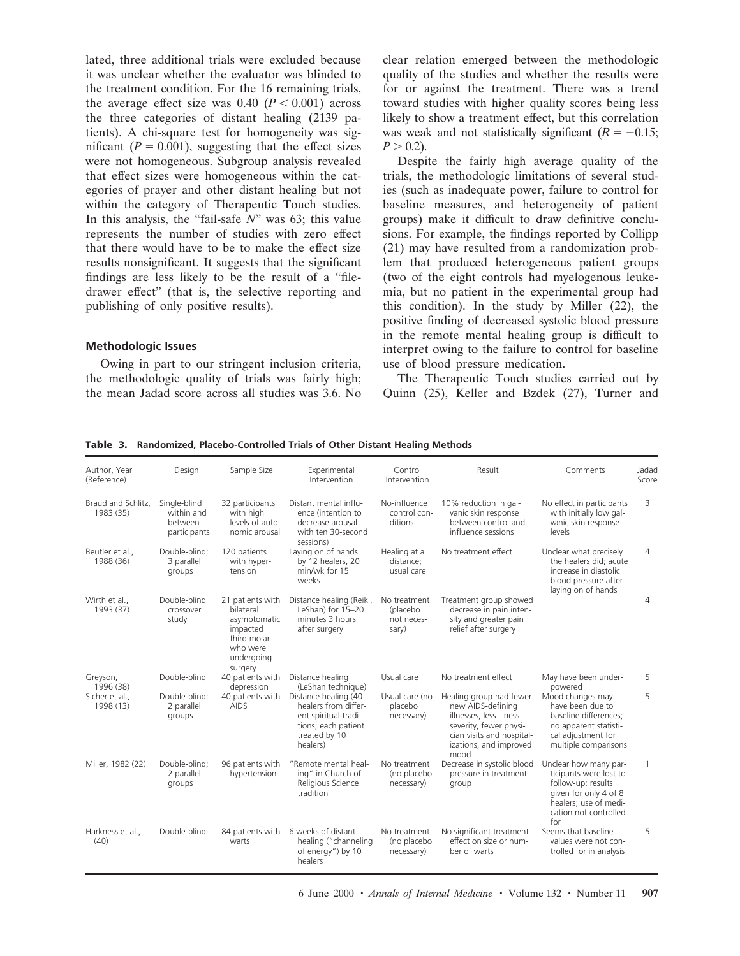lated, three additional trials were excluded because it was unclear whether the evaluator was blinded to the treatment condition. For the 16 remaining trials, the average effect size was 0.40  $(P < 0.001)$  across the three categories of distant healing (2139 patients). A chi-square test for homogeneity was significant  $(P = 0.001)$ , suggesting that the effect sizes were not homogeneous. Subgroup analysis revealed that effect sizes were homogeneous within the categories of prayer and other distant healing but not within the category of Therapeutic Touch studies. In this analysis, the "fail-safe *N*" was 63; this value represents the number of studies with zero effect that there would have to be to make the effect size results nonsignificant. It suggests that the significant findings are less likely to be the result of a "filedrawer effect" (that is, the selective reporting and publishing of only positive results).

### **Methodologic Issues**

Owing in part to our stringent inclusion criteria, the methodologic quality of trials was fairly high; the mean Jadad score across all studies was 3.6. No

clear relation emerged between the methodologic quality of the studies and whether the results were for or against the treatment. There was a trend toward studies with higher quality scores being less likely to show a treatment effect, but this correlation was weak and not statistically significant  $(R = -0.15$ ;  $P > 0.2$ ).

Despite the fairly high average quality of the trials, the methodologic limitations of several studies (such as inadequate power, failure to control for baseline measures, and heterogeneity of patient groups) make it difficult to draw definitive conclusions. For example, the findings reported by Collipp (21) may have resulted from a randomization problem that produced heterogeneous patient groups (two of the eight controls had myelogenous leukemia, but no patient in the experimental group had this condition). In the study by Miller (22), the positive finding of decreased systolic blood pressure in the remote mental healing group is difficult to interpret owing to the failure to control for baseline use of blood pressure medication.

The Therapeutic Touch studies carried out by Quinn (25), Keller and Bzdek (27), Turner and

**Table 3. Randomized, Placebo-Controlled Trials of Other Distant Healing Methods**

| Author, Year<br>(Reference)     | Design                                                | Sample Size                                                                                                   | Experimental<br>Intervention                                                                                             | Control<br>Intervention                         | Result                                                                                                                                                           | Comments                                                                                                                                                | Jadad<br>Score |
|---------------------------------|-------------------------------------------------------|---------------------------------------------------------------------------------------------------------------|--------------------------------------------------------------------------------------------------------------------------|-------------------------------------------------|------------------------------------------------------------------------------------------------------------------------------------------------------------------|---------------------------------------------------------------------------------------------------------------------------------------------------------|----------------|
| Braud and Schlitz,<br>1983 (35) | Single-blind<br>within and<br>between<br>participants | 32 participants<br>with high<br>levels of auto-<br>nomic arousal                                              | Distant mental influ-<br>ence (intention to<br>decrease arousal<br>with ten 30-second<br>sessions)                       | No-influence<br>control con-<br>ditions         | 10% reduction in gal-<br>vanic skin response<br>between control and<br>influence sessions                                                                        | No effect in participants<br>with initially low gal-<br>vanic skin response<br>levels                                                                   | 3              |
| Beutler et al.,<br>1988 (36)    | Double-blind;<br>3 parallel<br>groups                 | 120 patients<br>with hyper-<br>tension                                                                        | Laying on of hands<br>by 12 healers, 20<br>min/wk for 15<br>weeks                                                        | Healing at a<br>distance;<br>usual care         | No treatment effect                                                                                                                                              | Unclear what precisely<br>the healers did; acute<br>increase in diastolic<br>blood pressure after<br>laying on of hands                                 | 4              |
| Wirth et al<br>1993 (37)        | Double-blind<br>crossover<br>study                    | 21 patients with<br>bilateral<br>asymptomatic<br>impacted<br>third molar<br>who were<br>undergoing<br>surgery | Distance healing (Reiki,<br>LeShan) for 15-20<br>minutes 3 hours<br>after surgery                                        | No treatment<br>(placebo<br>not neces-<br>sary) | Treatment group showed<br>decrease in pain inten-<br>sity and greater pain<br>relief after surgery                                                               |                                                                                                                                                         | 4              |
| Greyson,<br>1996 (38)           | Double-blind                                          | 40 patients with<br>depression                                                                                | Distance healing<br>(LeShan technique)                                                                                   | Usual care                                      | No treatment effect                                                                                                                                              | May have been under-<br>powered                                                                                                                         | 5              |
| Sicher et al.,<br>1998 (13)     | Double-blind;<br>2 parallel<br>groups                 | 40 patients with<br><b>AIDS</b>                                                                               | Distance healing (40<br>healers from differ-<br>ent spiritual tradi-<br>tions; each patient<br>treated by 10<br>healers) | Usual care (no<br>placebo<br>necessary)         | Healing group had fewer<br>new AIDS-defining<br>illnesses, less illness<br>severity, fewer physi-<br>cian visits and hospital-<br>izations, and improved<br>mood | Mood changes may<br>have been due to<br>baseline differences:<br>no apparent statisti-<br>cal adjustment for<br>multiple comparisons                    | 5              |
| Miller, 1982 (22)               | Double-blind:<br>2 parallel<br>groups                 | 96 patients with<br>hypertension                                                                              | "Remote mental heal-<br>ing" in Church of<br>Religious Science<br>tradition                                              | No treatment<br>(no placebo<br>necessary)       | Decrease in systolic blood<br>pressure in treatment<br>group                                                                                                     | Unclear how many par-<br>ticipants were lost to<br>follow-up; results<br>given for only 4 of 8<br>healers; use of medi-<br>cation not controlled<br>for | 1              |
| Harkness et al.,<br>(40)        | Double-blind                                          | 84 patients with<br>warts                                                                                     | 6 weeks of distant<br>healing ("channeling<br>of energy") by 10<br>healers                                               | No treatment<br>(no placebo<br>necessary)       | No significant treatment<br>effect on size or num-<br>ber of warts                                                                                               | Seems that baseline<br>values were not con-<br>trolled for in analysis                                                                                  | 5              |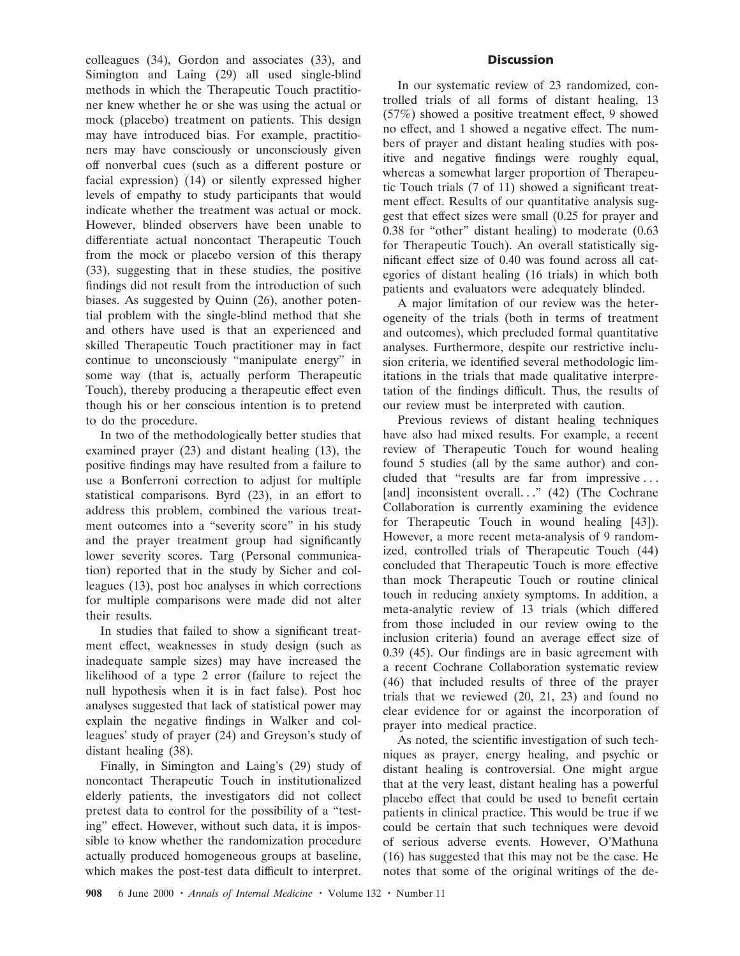colleagues (34), Gordon and associates (33), and Simington and Laing (29) all used single-blind methods in which the Therapeutic Touch practitioner knew whether he or she was using the actual or mock (placebo) treatment on patients. This design may have introduced bias. For example, practitioners may have consciously or unconsciously given off nonverbal cues (such as a different posture or facial expression) (14) or silently expressed higher levels of empathy to study participants that would indicate whether the treatment was actual or mock. However, blinded observers have been unable to differentiate actual noncontact Therapeutic Touch from the mock or placebo version of this therapy (33), suggesting that in these studies, the positive findings did not result from the introduction of such biases. As suggested by Quinn (26), another potential problem with the single-blind method that she and others have used is that an experienced and skilled Therapeutic Touch practitioner may in fact continue to unconsciously "manipulate energy" in some way (that is, actually perform Therapeutic Touch), thereby producing a therapeutic effect even though his or her conscious intention is to pretend to do the procedure.

In two of the methodologically better studies that examined prayer (23) and distant healing (13), the positive findings may have resulted from a failure to use a Bonferroni correction to adjust for multiple statistical comparisons. Byrd (23), in an effort to address this problem, combined the various treatment outcomes into a "severity score" in his study and the prayer treatment group had significantly lower severity scores. Targ (Personal communication) reported that in the study by Sicher and colleagues (13), post hoc analyses in which corrections for multiple comparisons were made did not alter their results.

In studies that failed to show a significant treatment effect, weaknesses in study design (such as inadequate sample sizes) may have increased the likelihood of a type 2 error (failure to reject the null hypothesis when it is in fact false). Post hoc analyses suggested that lack of statistical power may explain the negative findings in Walker and colleagues' study of prayer (24) and Greyson's study of distant healing (38).

Finally, in Simington and Laing's (29) study of noncontact Therapeutic Touch in institutionalized elderly patients, the investigators did not collect pretest data to control for the possibility of a "testing" effect. However, without such data, it is impossible to know whether the randomization procedure actually produced homogeneous groups at baseline, which makes the post-test data difficult to interpret.

# **Discussion**

In our systematic review of 23 randomized, controlled trials of all forms of distant healing, 13 (57%) showed a positive treatment effect, 9 showed no effect, and 1 showed a negative effect. The numbers of prayer and distant healing studies with positive and negative findings were roughly equal, whereas a somewhat larger proportion of Therapeutic Touch trials (7 of 11) showed a significant treatment effect. Results of our quantitative analysis suggest that effect sizes were small (0.25 for prayer and 0.38 for "other" distant healing) to moderate (0.63 for Therapeutic Touch). An overall statistically significant effect size of 0.40 was found across all categories of distant healing (16 trials) in which both patients and evaluators were adequately blinded.

A major limitation of our review was the heterogeneity of the trials (both in terms of treatment and outcomes), which precluded formal quantitative analyses. Furthermore, despite our restrictive inclusion criteria, we identified several methodologic limitations in the trials that made qualitative interpretation of the findings difficult. Thus, the results of our review must be interpreted with caution.

Previous reviews of distant healing techniques have also had mixed results. For example, a recent review of Therapeutic Touch for wound healing found 5 studies (all by the same author) and concluded that "results are far from impressive... [and] inconsistent overall. . ." (42) (The Cochrane Collaboration is currently examining the evidence for Therapeutic Touch in wound healing [43]). However, a more recent meta-analysis of 9 randomized, controlled trials of Therapeutic Touch (44) concluded that Therapeutic Touch is more effective than mock Therapeutic Touch or routine clinical touch in reducing anxiety symptoms. In addition, a meta-analytic review of 13 trials (which differed from those included in our review owing to the inclusion criteria) found an average effect size of 0.39 (45). Our findings are in basic agreement with a recent Cochrane Collaboration systematic review (46) that included results of three of the prayer trials that we reviewed (20, 21, 23) and found no clear evidence for or against the incorporation of prayer into medical practice.

As noted, the scientific investigation of such techniques as prayer, energy healing, and psychic or distant healing is controversial. One might argue that at the very least, distant healing has a powerful placebo effect that could be used to benefit certain patients in clinical practice. This would be true if we could be certain that such techniques were devoid of serious adverse events. However, O'Mathuna (16) has suggested that this may not be the case. He notes that some of the original writings of the de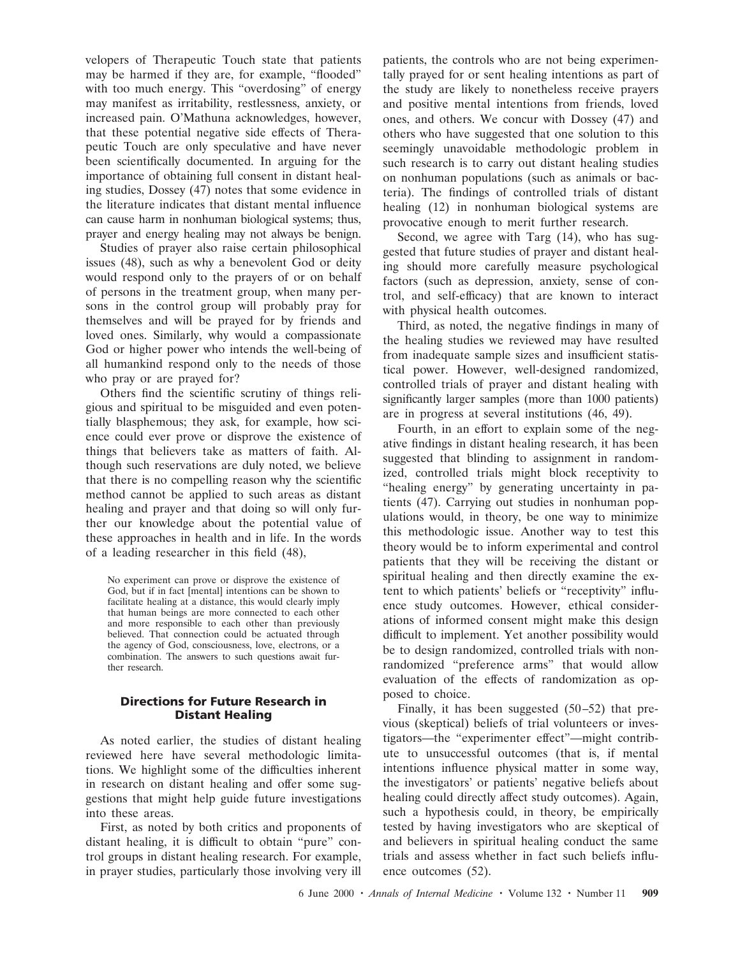velopers of Therapeutic Touch state that patients may be harmed if they are, for example, "flooded" with too much energy. This "overdosing" of energy may manifest as irritability, restlessness, anxiety, or increased pain. O'Mathuna acknowledges, however, that these potential negative side effects of Therapeutic Touch are only speculative and have never been scientifically documented. In arguing for the importance of obtaining full consent in distant healing studies, Dossey (47) notes that some evidence in the literature indicates that distant mental influence can cause harm in nonhuman biological systems; thus, prayer and energy healing may not always be benign.

Studies of prayer also raise certain philosophical issues (48), such as why a benevolent God or deity would respond only to the prayers of or on behalf of persons in the treatment group, when many persons in the control group will probably pray for themselves and will be prayed for by friends and loved ones. Similarly, why would a compassionate God or higher power who intends the well-being of all humankind respond only to the needs of those who pray or are prayed for?

Others find the scientific scrutiny of things religious and spiritual to be misguided and even potentially blasphemous; they ask, for example, how science could ever prove or disprove the existence of things that believers take as matters of faith. Although such reservations are duly noted, we believe that there is no compelling reason why the scientific method cannot be applied to such areas as distant healing and prayer and that doing so will only further our knowledge about the potential value of these approaches in health and in life. In the words of a leading researcher in this field (48),

No experiment can prove or disprove the existence of God, but if in fact [mental] intentions can be shown to facilitate healing at a distance, this would clearly imply that human beings are more connected to each other and more responsible to each other than previously believed. That connection could be actuated through the agency of God, consciousness, love, electrons, or a combination. The answers to such questions await further research.

## **Directions for Future Research in Distant Healing**

As noted earlier, the studies of distant healing reviewed here have several methodologic limitations. We highlight some of the difficulties inherent in research on distant healing and offer some suggestions that might help guide future investigations into these areas.

First, as noted by both critics and proponents of distant healing, it is difficult to obtain "pure" control groups in distant healing research. For example, in prayer studies, particularly those involving very ill

patients, the controls who are not being experimentally prayed for or sent healing intentions as part of the study are likely to nonetheless receive prayers and positive mental intentions from friends, loved ones, and others. We concur with Dossey (47) and others who have suggested that one solution to this seemingly unavoidable methodologic problem in such research is to carry out distant healing studies on nonhuman populations (such as animals or bacteria). The findings of controlled trials of distant healing (12) in nonhuman biological systems are provocative enough to merit further research.

Second, we agree with Targ (14), who has suggested that future studies of prayer and distant healing should more carefully measure psychological factors (such as depression, anxiety, sense of control, and self-efficacy) that are known to interact with physical health outcomes.

Third, as noted, the negative findings in many of the healing studies we reviewed may have resulted from inadequate sample sizes and insufficient statistical power. However, well-designed randomized, controlled trials of prayer and distant healing with significantly larger samples (more than 1000 patients) are in progress at several institutions (46, 49).

Fourth, in an effort to explain some of the negative findings in distant healing research, it has been suggested that blinding to assignment in randomized, controlled trials might block receptivity to "healing energy" by generating uncertainty in patients (47). Carrying out studies in nonhuman populations would, in theory, be one way to minimize this methodologic issue. Another way to test this theory would be to inform experimental and control patients that they will be receiving the distant or spiritual healing and then directly examine the extent to which patients' beliefs or "receptivity" influence study outcomes. However, ethical considerations of informed consent might make this design difficult to implement. Yet another possibility would be to design randomized, controlled trials with nonrandomized "preference arms" that would allow evaluation of the effects of randomization as opposed to choice.

Finally, it has been suggested (50–52) that previous (skeptical) beliefs of trial volunteers or investigators—the "experimenter effect"—might contribute to unsuccessful outcomes (that is, if mental intentions influence physical matter in some way, the investigators' or patients' negative beliefs about healing could directly affect study outcomes). Again, such a hypothesis could, in theory, be empirically tested by having investigators who are skeptical of and believers in spiritual healing conduct the same trials and assess whether in fact such beliefs influence outcomes (52).